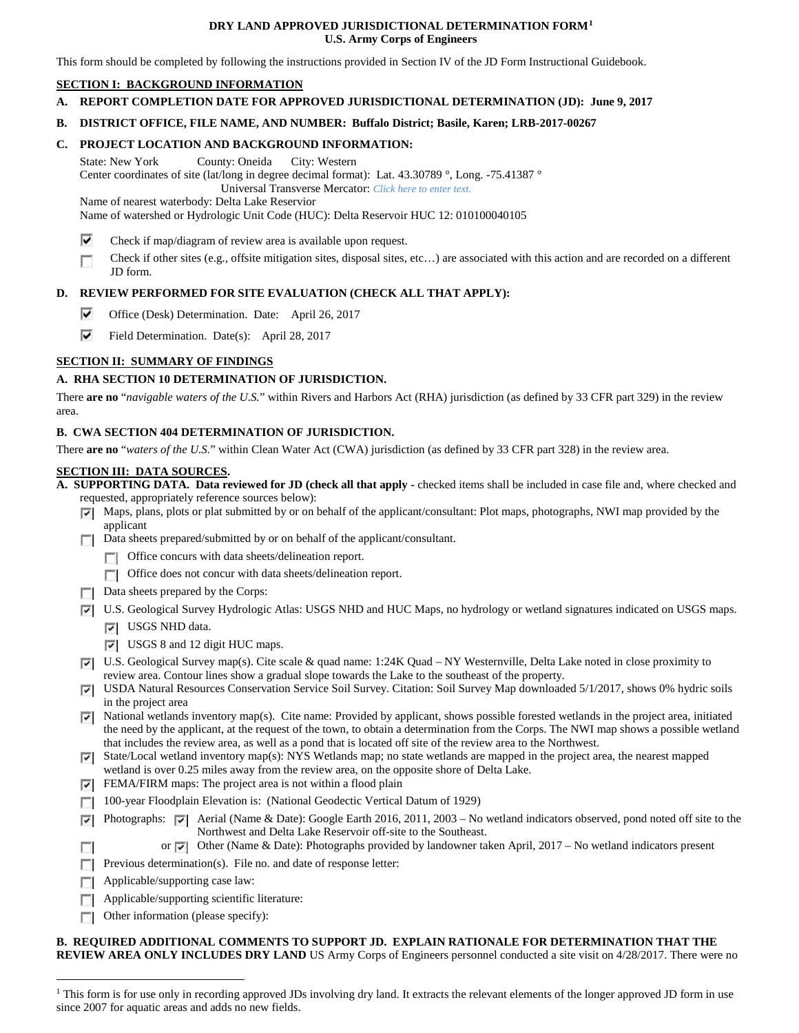# **DRY LAND APPROVED JURISDICTIONAL DETERMINATION FORM[1](#page-0-0) U.S. Army Corps of Engineers**

This form should be completed by following the instructions provided in Section IV of the JD Form Instructional Guidebook.

# **SECTION I: BACKGROUND INFORMATION**

**A. REPORT COMPLETION DATE FOR APPROVED JURISDICTIONAL DETERMINATION (JD): June 9, 2017**

#### **B. DISTRICT OFFICE, FILE NAME, AND NUMBER: Buffalo District; Basile, Karen; LRB-2017-00267**

# **C. PROJECT LOCATION AND BACKGROUND INFORMATION:**

State: New York County: Oneida City: Western Center coordinates of site (lat/long in degree decimal format): Lat. 43.30789 °, Long. -75.41387 ° Universal Transverse Mercator: *Click here to enter text.* Name of nearest waterbody: Delta Lake Reservior

Name of watershed or Hydrologic Unit Code (HUC): Delta Reservoir HUC 12: 010100040105

- ⊽ Check if map/diagram of review area is available upon request.
- Check if other sites (e.g., offsite mitigation sites, disposal sites, etc…) are associated with this action and are recorded on a different JD form.

# **D. REVIEW PERFORMED FOR SITE EVALUATION (CHECK ALL THAT APPLY):**

- ⊽ Office (Desk) Determination. Date: April 26, 2017
- ⊽ Field Determination. Date(s): April 28, 2017

# **SECTION II: SUMMARY OF FINDINGS**

# **A. RHA SECTION 10 DETERMINATION OF JURISDICTION.**

There **are no** "*navigable waters of the U.S.*" within Rivers and Harbors Act (RHA) jurisdiction (as defined by 33 CFR part 329) in the review area.

### **B. CWA SECTION 404 DETERMINATION OF JURISDICTION.**

There **are no** "*waters of the U.S.*" within Clean Water Act (CWA) jurisdiction (as defined by 33 CFR part 328) in the review area.

#### **SECTION III: DATA SOURCES.**

**A. SUPPORTING DATA. Data reviewed for JD (check all that apply -** checked items shall be included in case file and, where checked and requested, appropriately reference sources below):

- $\nabla$  Maps, plans, plots or plat submitted by or on behalf of the applicant/consultant: Plot maps, photographs, NWI map provided by the applicant
- Data sheets prepared/submitted by or on behalf of the applicant/consultant.
	- **T** Office concurs with data sheets/delineation report.
	- Office does not concur with data sheets/delineation report.
- $\Box$  Data sheets prepared by the Corps:
- U.S. Geological Survey Hydrologic Atlas: USGS NHD and HUC Maps, no hydrology or wetland signatures indicated on USGS maps.
	- **V** USGS NHD data.
	- USGS 8 and 12 digit HUC maps.
- U.S. Geological Survey map(s). Cite scale & quad name: 1:24K Quad NY Westernville, Delta Lake noted in close proximity to review area. Contour lines show a gradual slope towards the Lake to the southeast of the property.
- USDA Natural Resources Conservation Service Soil Survey. Citation: Soil Survey Map downloaded 5/1/2017, shows 0% hydric soils in the project area
- $\nabla$  National wetlands inventory map(s). Cite name: Provided by applicant, shows possible forested wetlands in the project area, initiated the need by the applicant, at the request of the town, to obtain a determination from the Corps. The NWI map shows a possible wetland that includes the review area, as well as a pond that is located off site of the review area to the Northwest.
- $\triangledown$  State/Local wetland inventory map(s): NYS Wetlands map; no state wetlands are mapped in the project area, the nearest mapped wetland is over 0.25 miles away from the review area, on the opposite shore of Delta Lake.
- $\triangleright$  FEMA/FIRM maps: The project area is not within a flood plain
- 100-year Floodplain Elevation is: (National Geodectic Vertical Datum of 1929)
- Photographs:  $\overline{|\cdot|}$  Aerial (Name & Date): Google Earth 2016, 2011, 2003 No wetland indicators observed, pond noted off site to the Northwest and Delta Lake Reservoir off-site to the Southeast.
	- or  $\overline{\bullet}$  Other (Name & Date): Photographs provided by landowner taken April, 2017 No wetland indicators present
- **Previous determination(s).** File no. and date of response letter:
- Applicable/supporting case law:  $\Box$

n.

- **Applicable/supporting scientific literature:**
- Other information (please specify):  $\sim$

# **B. REQUIRED ADDITIONAL COMMENTS TO SUPPORT JD. EXPLAIN RATIONALE FOR DETERMINATION THAT THE**

**REVIEW AREA ONLY INCLUDES DRY LAND** US Army Corps of Engineers personnel conducted a site visit on 4/28/2017. There were no

<span id="page-0-0"></span><sup>&</sup>lt;sup>1</sup> This form is for use only in recording approved JDs involving dry land. It extracts the relevant elements of the longer approved JD form in use since 2007 for aquatic areas and adds no new fields.